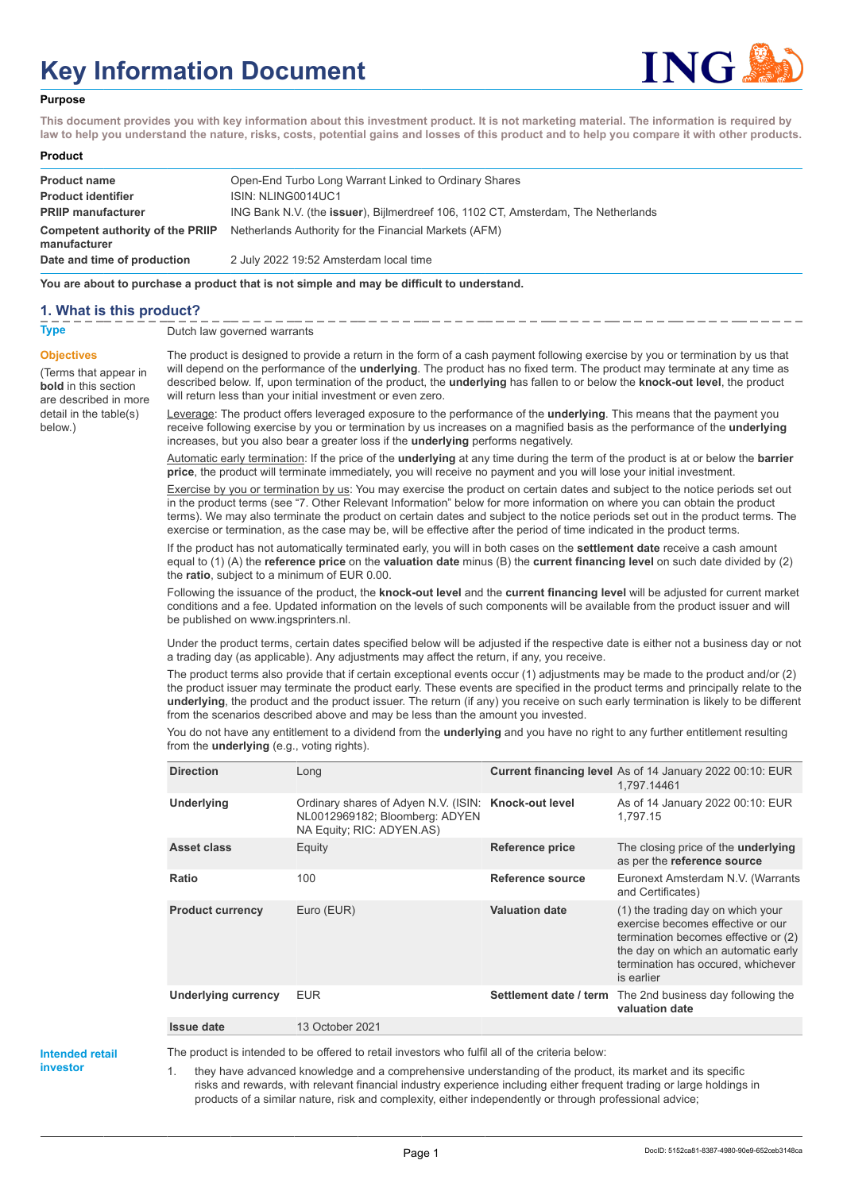# **Key Information Document**



#### **Purpose**

**This document provides you with key information about this investment product. It is not marketing material. The information is required by law to help you understand the nature, risks, costs, potential gains and losses of this product and to help you compare it with other products.**

| Product |  |
|---------|--|
|---------|--|

| <b>Product name</b><br><b>Product identifier</b><br><b>PRIIP manufacturer</b> | Open-End Turbo Long Warrant Linked to Ordinary Shares<br>ISIN: NLING0014UC1<br>ING Bank N.V. (the issuer), Bijlmerdreef 106, 1102 CT, Amsterdam, The Netherlands |
|-------------------------------------------------------------------------------|------------------------------------------------------------------------------------------------------------------------------------------------------------------|
| manufacturer                                                                  | <b>Competent authority of the PRIIP</b> Netherlands Authority for the Financial Markets (AFM)                                                                    |
| Date and time of production                                                   | 2 July 2022 19:52 Amsterdam local time                                                                                                                           |

**You are about to purchase a product that is not simple and may be difficult to understand.**

#### **1. What is this product?**

**Objectives**

below.)

(Terms that appear in **bold** in this section are described in more detail in the table(s)

**Type** Dutch law governed warrants

The product is designed to provide a return in the form of a cash payment following exercise by you or termination by us that will depend on the performance of the **underlying**. The product has no fixed term. The product may terminate at any time as described below. If, upon termination of the product, the **underlying** has fallen to or below the **knock-out level**, the product will return less than your initial investment or even zero.

Leverage: The product offers leveraged exposure to the performance of the **underlying**. This means that the payment you receive following exercise by you or termination by us increases on a magnified basis as the performance of the **underlying** increases, but you also bear a greater loss if the **underlying** performs negatively.

Automatic early termination: If the price of the **underlying** at any time during the term of the product is at or below the **barrier price**, the product will terminate immediately, you will receive no payment and you will lose your initial investment.

Exercise by you or termination by us: You may exercise the product on certain dates and subject to the notice periods set out in the product terms (see "7. Other Relevant Information" below for more information on where you can obtain the product terms). We may also terminate the product on certain dates and subject to the notice periods set out in the product terms. The exercise or termination, as the case may be, will be effective after the period of time indicated in the product terms.

If the product has not automatically terminated early, you will in both cases on the **settlement date** receive a cash amount equal to (1) (A) the **reference price** on the **valuation date** minus (B) the **current financing level** on such date divided by (2) the **ratio**, subject to a minimum of EUR 0.00.

Following the issuance of the product, the **knock-out level** and the **current financing level** will be adjusted for current market conditions and a fee. Updated information on the levels of such components will be available from the product issuer and will be published on www.ingsprinters.nl.

Under the product terms, certain dates specified below will be adjusted if the respective date is either not a business day or not a trading day (as applicable). Any adjustments may affect the return, if any, you receive.

The product terms also provide that if certain exceptional events occur (1) adjustments may be made to the product and/or (2) the product issuer may terminate the product early. These events are specified in the product terms and principally relate to the **underlying**, the product and the product issuer. The return (if any) you receive on such early termination is likely to be different from the scenarios described above and may be less than the amount you invested.

You do not have any entitlement to a dividend from the **underlying** and you have no right to any further entitlement resulting from the **underlying** (e.g., voting rights).

| <b>Direction</b>           | Long                                                                                                                |                        | Current financing level As of 14 January 2022 00:10: EUR<br>1,797.14461                                                                                                                                   |
|----------------------------|---------------------------------------------------------------------------------------------------------------------|------------------------|-----------------------------------------------------------------------------------------------------------------------------------------------------------------------------------------------------------|
| Underlying                 | Ordinary shares of Adyen N.V. (ISIN: Knock-out level<br>NL0012969182; Bloomberg: ADYEN<br>NA Equity; RIC: ADYEN.AS) |                        | As of 14 January 2022 00:10: EUR<br>1.797.15                                                                                                                                                              |
| Asset class                | Equity                                                                                                              | <b>Reference price</b> | The closing price of the <b>underlying</b><br>as per the reference source                                                                                                                                 |
| Ratio                      | 100                                                                                                                 | Reference source       | Euronext Amsterdam N.V. (Warrants<br>and Certificates)                                                                                                                                                    |
| <b>Product currency</b>    | Euro (EUR)                                                                                                          | <b>Valuation date</b>  | (1) the trading day on which your<br>exercise becomes effective or our<br>termination becomes effective or (2)<br>the day on which an automatic early<br>termination has occured, whichever<br>is earlier |
| <b>Underlying currency</b> | <b>EUR</b>                                                                                                          | Settlement date / term | The 2nd business day following the<br>valuation date                                                                                                                                                      |
| <b>Issue date</b>          | 13 October 2021                                                                                                     |                        |                                                                                                                                                                                                           |

**Intended retail investor**

The product is intended to be offered to retail investors who fulfil all of the criteria below:

they have advanced knowledge and a comprehensive understanding of the product, its market and its specific risks and rewards, with relevant financial industry experience including either frequent trading or large holdings in products of a similar nature, risk and complexity, either independently or through professional advice;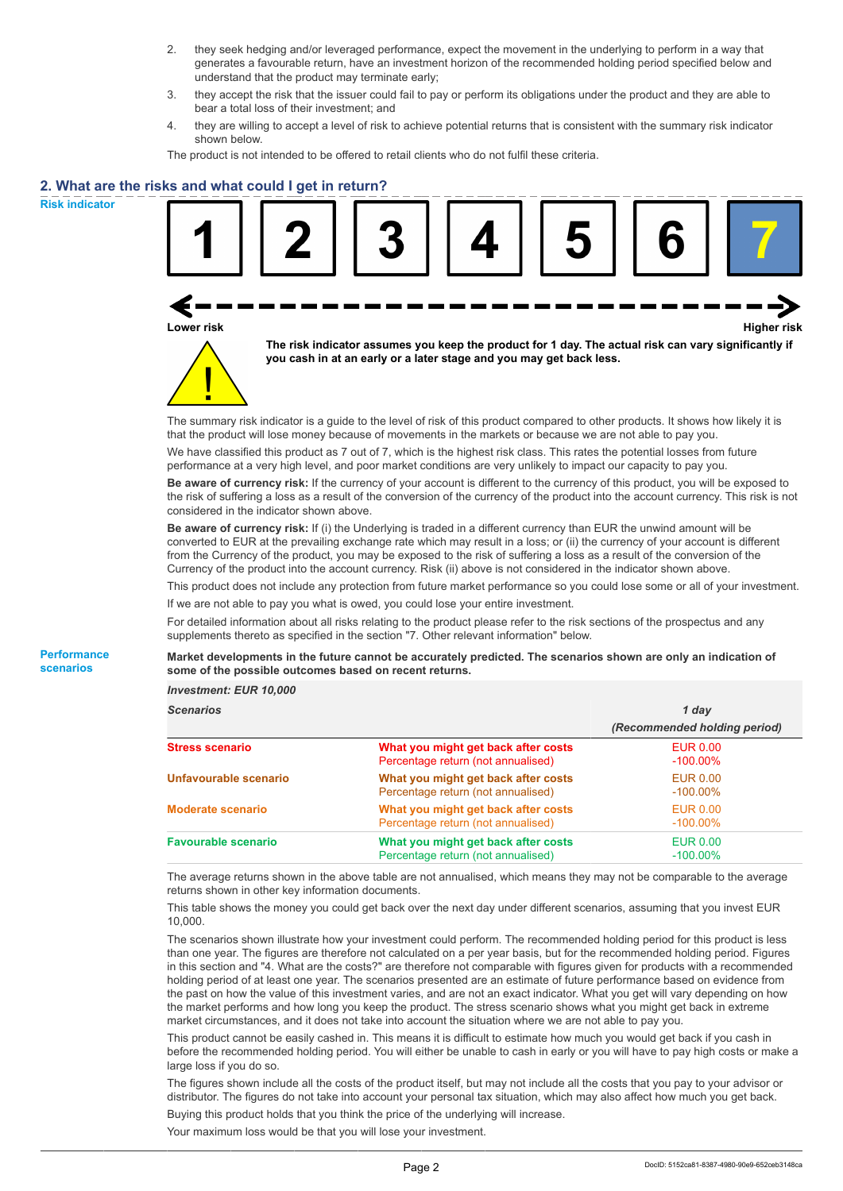- 2. they seek hedging and/or leveraged performance, expect the movement in the underlying to perform in a way that generates a favourable return, have an investment horizon of the recommended holding period specified below and understand that the product may terminate early;
- 3. they accept the risk that the issuer could fail to pay or perform its obligations under the product and they are able to bear a total loss of their investment; and
- 4. they are willing to accept a level of risk to achieve potential returns that is consistent with the summary risk indicator shown below.

The product is not intended to be offered to retail clients who do not fulfil these criteria.

#### **2. What are the risks and what could I get in return?**

**Risk indicator**

**Performance scenarios**

| Lower risk |  | you cash in at an early or a later stage and you may get back less. | The risk indicator assumes you keep the product for 1 day. The actual risk can vary significantly if                                                                                                                                            | <b>Higher risk</b> |
|------------|--|---------------------------------------------------------------------|-------------------------------------------------------------------------------------------------------------------------------------------------------------------------------------------------------------------------------------------------|--------------------|
|            |  |                                                                     | The summary risk indicator is a guide to the level of risk of this product compared to other products. It shows how likely it is<br>that the product will lose money because of movements in the markets or because we are not able to pay you. |                    |

We have classified this product as 7 out of 7, which is the highest risk class. This rates the potential losses from future performance at a very high level, and poor market conditions are very unlikely to impact our capacity to pay you.

**Be aware of currency risk:** If the currency of your account is different to the currency of this product, you will be exposed to the risk of suffering a loss as a result of the conversion of the currency of the product into the account currency. This risk is not considered in the indicator shown above.

**Be aware of currency risk:** If (i) the Underlying is traded in a different currency than EUR the unwind amount will be converted to EUR at the prevailing exchange rate which may result in a loss; or (ii) the currency of your account is different from the Currency of the product, you may be exposed to the risk of suffering a loss as a result of the conversion of the Currency of the product into the account currency. Risk (ii) above is not considered in the indicator shown above.

This product does not include any protection from future market performance so you could lose some or all of your investment. If we are not able to pay you what is owed, you could lose your entire investment.

For detailed information about all risks relating to the product please refer to the risk sections of the prospectus and any supplements thereto as specified in the section "7. Other relevant information" below.

**Market developments in the future cannot be accurately predicted. The scenarios shown are only an indication of some of the possible outcomes based on recent returns.**

*Investment: EUR 10,000*

| Scenarios                  |                                                                           | 1 day                          |  |  |
|----------------------------|---------------------------------------------------------------------------|--------------------------------|--|--|
|                            |                                                                           | (Recommended holding period)   |  |  |
| <b>Stress scenario</b>     | What you might get back after costs<br>Percentage return (not annualised) | EUR 0.00<br>$-100.00\%$        |  |  |
| Unfavourable scenario      | What you might get back after costs<br>Percentage return (not annualised) | <b>EUR 0.00</b><br>$-100.00\%$ |  |  |
| <b>Moderate scenario</b>   | What you might get back after costs<br>Percentage return (not annualised) | EUR 0.00<br>$-100.00\%$        |  |  |
| <b>Favourable scenario</b> | What you might get back after costs<br>Percentage return (not annualised) | EUR 0.00<br>$-100.00\%$        |  |  |

The average returns shown in the above table are not annualised, which means they may not be comparable to the average returns shown in other key information documents.

This table shows the money you could get back over the next day under different scenarios, assuming that you invest EUR 10,000.

The scenarios shown illustrate how your investment could perform. The recommended holding period for this product is less than one year. The figures are therefore not calculated on a per year basis, but for the recommended holding period. Figures in this section and "4. What are the costs?" are therefore not comparable with figures given for products with a recommended holding period of at least one year. The scenarios presented are an estimate of future performance based on evidence from the past on how the value of this investment varies, and are not an exact indicator. What you get will vary depending on how the market performs and how long you keep the product. The stress scenario shows what you might get back in extreme market circumstances, and it does not take into account the situation where we are not able to pay you.

This product cannot be easily cashed in. This means it is difficult to estimate how much you would get back if you cash in before the recommended holding period. You will either be unable to cash in early or you will have to pay high costs or make a large loss if you do so.

The figures shown include all the costs of the product itself, but may not include all the costs that you pay to your advisor or distributor. The figures do not take into account your personal tax situation, which may also affect how much you get back. Buying this product holds that you think the price of the underlying will increase.

Your maximum loss would be that you will lose your investment.